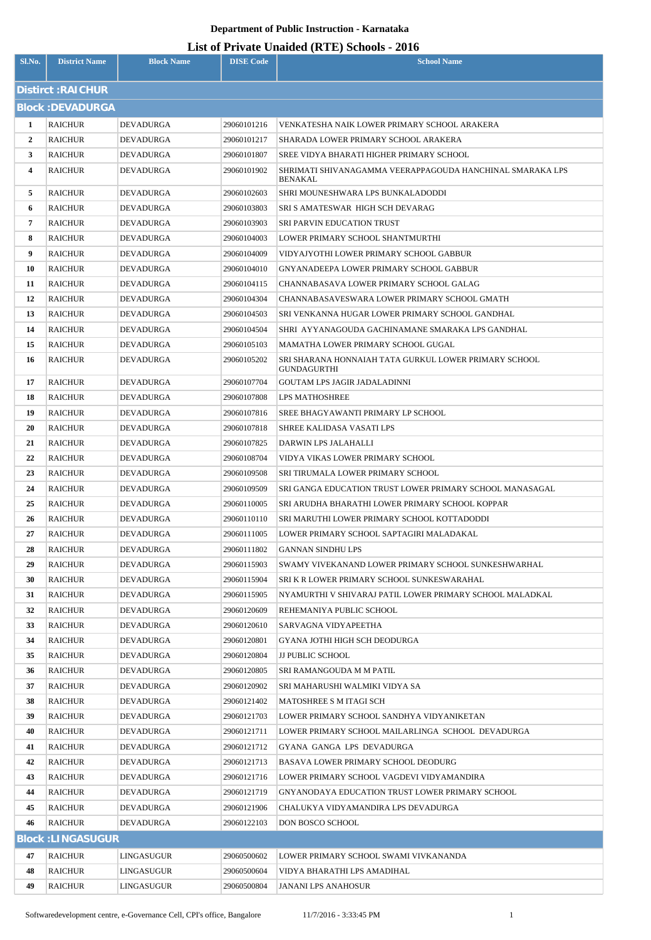| Sl.No.         | <b>District Name</b>     | <b>Block Name</b> | <b>DISE Code</b> | <b>School Name</b>                                                          |  |  |  |
|----------------|--------------------------|-------------------|------------------|-----------------------------------------------------------------------------|--|--|--|
|                | <b>Distirct: RAICHUR</b> |                   |                  |                                                                             |  |  |  |
|                | <b>Block: DEVADURGA</b>  |                   |                  |                                                                             |  |  |  |
| 1              | <b>RAICHUR</b>           | DEVADURGA         | 29060101216      | VENKATESHA NAIK LOWER PRIMARY SCHOOL ARAKERA                                |  |  |  |
| $\overline{2}$ | <b>RAICHUR</b>           | DEVADURGA         | 29060101217      | SHARADA LOWER PRIMARY SCHOOL ARAKERA                                        |  |  |  |
| 3              | <b>RAICHUR</b>           | DEVADURGA         | 29060101807      | SREE VIDYA BHARATI HIGHER PRIMARY SCHOOL                                    |  |  |  |
| 4              | <b>RAICHUR</b>           | DEVADURGA         | 29060101902      | SHRIMATI SHIVANAGAMMA VEERAPPAGOUDA HANCHINAL SMARAKA LPS                   |  |  |  |
|                |                          |                   |                  | <b>BENAKAL</b>                                                              |  |  |  |
| 5              | <b>RAICHUR</b>           | DEVADURGA         | 29060102603      | SHRI MOUNESHWARA LPS BUNKALADODDI                                           |  |  |  |
| 6              | <b>RAICHUR</b>           | DEVADURGA         | 29060103803      | SRI S AMATESWAR HIGH SCH DEVARAG                                            |  |  |  |
| 7              | <b>RAICHUR</b>           | DEVADURGA         | 29060103903      | <b>SRI PARVIN EDUCATION TRUST</b>                                           |  |  |  |
| 8              | <b>RAICHUR</b>           | DEVADURGA         | 29060104003      | LOWER PRIMARY SCHOOL SHANTMURTHI                                            |  |  |  |
| 9              | <b>RAICHUR</b>           | DEVADURGA         | 29060104009      | VIDYAJYOTHI LOWER PRIMARY SCHOOL GABBUR                                     |  |  |  |
| 10             | <b>RAICHUR</b>           | <b>DEVADURGA</b>  | 29060104010      | GNYANADEEPA LOWER PRIMARY SCHOOL GABBUR                                     |  |  |  |
| 11             | <b>RAICHUR</b>           | DEVADURGA         | 29060104115      | CHANNABASAVA LOWER PRIMARY SCHOOL GALAG                                     |  |  |  |
| 12             | <b>RAICHUR</b>           | DEVADURGA         | 29060104304      | CHANNABASAVESWARA LOWER PRIMARY SCHOOL GMATH                                |  |  |  |
| 13             | <b>RAICHUR</b>           | DEVADURGA         | 29060104503      | SRI VENKANNA HUGAR LOWER PRIMARY SCHOOL GANDHAL                             |  |  |  |
| 14             | <b>RAICHUR</b>           | DEVADURGA         | 29060104504      | SHRI AYYANAGOUDA GACHINAMANE SMARAKA LPS GANDHAL                            |  |  |  |
| 15             | <b>RAICHUR</b>           | DEVADURGA         | 29060105103      | MAMATHA LOWER PRIMARY SCHOOL GUGAL                                          |  |  |  |
| 16             | <b>RAICHUR</b>           | DEVADURGA         | 29060105202      | SRI SHARANA HONNAIAH TATA GURKUL LOWER PRIMARY SCHOOL<br><b>GUNDAGURTHI</b> |  |  |  |
| 17             | <b>RAICHUR</b>           | DEVADURGA         | 29060107704      | <b>GOUTAM LPS JAGIR JADALADINNI</b>                                         |  |  |  |
| 18             | <b>RAICHUR</b>           | DEVADURGA         | 29060107808      | <b>LPS MATHOSHREE</b>                                                       |  |  |  |
| 19             | <b>RAICHUR</b>           | DEVADURGA         | 29060107816      | SREE BHAGYAWANTI PRIMARY LP SCHOOL                                          |  |  |  |
| 20             | <b>RAICHUR</b>           | DEVADURGA         | 29060107818      | SHREE KALIDASA VASATI LPS                                                   |  |  |  |
| 21             | <b>RAICHUR</b>           | DEVADURGA         | 29060107825      | DARWIN LPS JALAHALLI                                                        |  |  |  |
| 22             | <b>RAICHUR</b>           | DEVADURGA         | 29060108704      | VIDYA VIKAS LOWER PRIMARY SCHOOL                                            |  |  |  |
| 23             | <b>RAICHUR</b>           | DEVADURGA         | 29060109508      | SRI TIRUMALA LOWER PRIMARY SCHOOL                                           |  |  |  |
| 24             | <b>RAICHUR</b>           | DEVADURGA         | 29060109509      | SRI GANGA EDUCATION TRUST LOWER PRIMARY SCHOOL MANASAGAL                    |  |  |  |
| 25             | <b>RAICHUR</b>           | DEVADURGA         | 29060110005      | SRI ARUDHA BHARATHI LOWER PRIMARY SCHOOL KOPPAR                             |  |  |  |
| 26             | <b>RAICHUR</b>           | <b>DEVADURGA</b>  | 29060110110      | SRI MARUTHI LOWER PRIMARY SCHOOL KOTTADODDI                                 |  |  |  |
| 27             | <b>RAICHUR</b>           | DEVADURGA         | 29060111005      | LOWER PRIMARY SCHOOL SAPTAGIRI MALADAKAL                                    |  |  |  |
| 28             | <b>RAICHUR</b>           | DEVADURGA         | 29060111802      | <b>GANNAN SINDHU LPS</b>                                                    |  |  |  |
| 29             | <b>RAICHUR</b>           | DEVADURGA         | 29060115903      | SWAMY VIVEKANAND LOWER PRIMARY SCHOOL SUNKESHWARHAL                         |  |  |  |
| 30             | <b>RAICHUR</b>           | DEVADURGA         | 29060115904      | SRI K R LOWER PRIMARY SCHOOL SUNKESWARAHAL                                  |  |  |  |
| 31             | <b>RAICHUR</b>           | DEVADURGA         | 29060115905      | NYAMURTHI V SHIVARAJ PATIL LOWER PRIMARY SCHOOL MALADKAL                    |  |  |  |
| 32             | <b>RAICHUR</b>           | DEVADURGA         | 29060120609      | REHEMANIYA PUBLIC SCHOOL                                                    |  |  |  |
| 33             | <b>RAICHUR</b>           | DEVADURGA         | 29060120610      | SARVAGNA VIDYAPEETHA                                                        |  |  |  |
| 34             | <b>RAICHUR</b>           | DEVADURGA         | 29060120801      | GYANA JOTHI HIGH SCH DEODURGA                                               |  |  |  |
| 35             | <b>RAICHUR</b>           | DEVADURGA         | 29060120804      | <b>JJ PUBLIC SCHOOL</b>                                                     |  |  |  |
| 36             | <b>RAICHUR</b>           | DEVADURGA         | 29060120805      | SRI RAMANGOUDA M M PATIL                                                    |  |  |  |
| 37             | <b>RAICHUR</b>           | DEVADURGA         | 29060120902      | SRI MAHARUSHI WALMIKI VIDYA SA                                              |  |  |  |
| 38             | <b>RAICHUR</b>           | DEVADURGA         | 29060121402      | <b>MATOSHREE S M ITAGI SCH</b>                                              |  |  |  |
| 39             | <b>RAICHUR</b>           | DEVADURGA         | 29060121703      | LOWER PRIMARY SCHOOL SANDHYA VIDYANIKETAN                                   |  |  |  |
| 40             | <b>RAICHUR</b>           | DEVADURGA         | 29060121711      | LOWER PRIMARY SCHOOL MAILARLINGA SCHOOL DEVADURGA                           |  |  |  |
| 41             | <b>RAICHUR</b>           | DEVADURGA         | 29060121712      | GYANA GANGA LPS DEVADURGA                                                   |  |  |  |
| 42             | <b>RAICHUR</b>           | DEVADURGA         | 29060121713      | BASAVA LOWER PRIMARY SCHOOL DEODURG                                         |  |  |  |
| 43             | <b>RAICHUR</b>           | DEVADURGA         | 29060121716      | LOWER PRIMARY SCHOOL VAGDEVI VIDYAMANDIRA                                   |  |  |  |
| 44             | <b>RAICHUR</b>           | DEVADURGA         | 29060121719      | GNYANODAYA EDUCATION TRUST LOWER PRIMARY SCHOOL                             |  |  |  |
| 45             | <b>RAICHUR</b>           | DEVADURGA         | 29060121906      | CHALUKYA VIDYAMANDIRA LPS DEVADURGA                                         |  |  |  |
| 46             | <b>RAICHUR</b>           | DEVADURGA         | 29060122103      | <b>DON BOSCO SCHOOL</b>                                                     |  |  |  |
|                | <b>Block: LINGASUGUR</b> |                   |                  |                                                                             |  |  |  |
| 47             | <b>RAICHUR</b>           | LINGASUGUR        | 29060500602      | LOWER PRIMARY SCHOOL SWAMI VIVKANANDA                                       |  |  |  |
| 48             | <b>RAICHUR</b>           | LINGASUGUR        | 29060500604      | VIDYA BHARATHI LPS AMADIHAL                                                 |  |  |  |
| 49             | <b>RAICHUR</b>           | LINGASUGUR        | 29060500804      | <b>JANANI LPS ANAHOSUR</b>                                                  |  |  |  |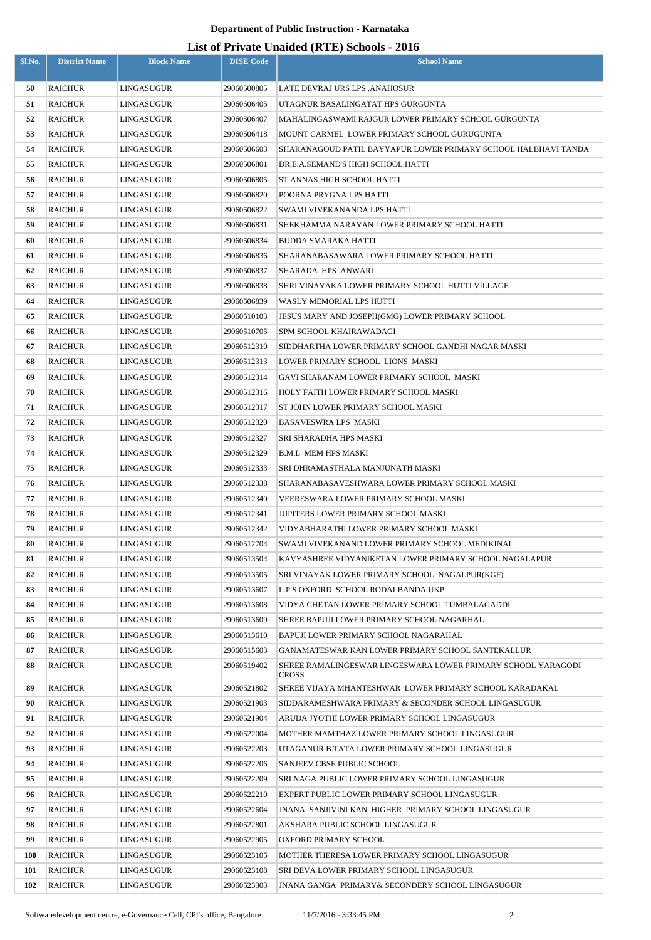| Sl.No. | <b>District Name</b> | <b>Block Name</b> | <b>DISE Code</b> | $\mathbf{L}_{\text{net}}$ of The value changed $(\mathbf{L}_{\text{net}})$ behoofs $\mathbf{L}_{\text{net}}$<br><b>School Name</b> |
|--------|----------------------|-------------------|------------------|------------------------------------------------------------------------------------------------------------------------------------|
| 50     | <b>RAICHUR</b>       | LINGASUGUR        | 29060500805      | LATE DEVRAJ URS LPS ,ANAHOSUR                                                                                                      |
| 51     | <b>RAICHUR</b>       | LINGASUGUR        | 29060506405      | UTAGNUR BASALINGATAT HPS GURGUNTA                                                                                                  |
| 52     | <b>RAICHUR</b>       | LINGASUGUR        | 29060506407      | MAHALINGASWAMI RAJGUR LOWER PRIMARY SCHOOL GURGUNTA                                                                                |
| 53     | <b>RAICHUR</b>       | LINGASUGUR        | 29060506418      | MOUNT CARMEL LOWER PRIMARY SCHOOL GURUGUNTA                                                                                        |
| 54     | <b>RAICHUR</b>       | LINGASUGUR        | 29060506603      | SHARANAGOUD PATIL BAYYAPUR LOWER PRIMARY SCHOOL HALBHAVI TANDA                                                                     |
| 55     | <b>RAICHUR</b>       | LINGASUGUR        | 29060506801      | DR.E.A.SEMAND'S HIGH SCHOOL.HATTI                                                                                                  |
| 56     | <b>RAICHUR</b>       | LINGASUGUR        | 29060506805      | ST.ANNAS HIGH SCHOOL HATTI                                                                                                         |
| 57     | <b>RAICHUR</b>       | LINGASUGUR        | 29060506820      | POORNA PRYGNA LPS HATTI                                                                                                            |
| 58     | <b>RAICHUR</b>       | LINGASUGUR        | 29060506822      | SWAMI VIVEKANANDA LPS HATTI                                                                                                        |
| 59     | RAICHUR              | LINGASUGUR        | 29060506831      | SHEKHAMMA NARAYAN LOWER PRIMARY SCHOOL HATTI                                                                                       |
| 60     | <b>RAICHUR</b>       | LINGASUGUR        | 29060506834      | BUDDA SMARAKA HATTI                                                                                                                |
| 61     | <b>RAICHUR</b>       | LINGASUGUR        | 29060506836      | SHARANABASAWARA LOWER PRIMARY SCHOOL HATTI                                                                                         |
| 62     | <b>RAICHUR</b>       | LINGASUGUR        | 29060506837      | SHARADA HPS ANWARI                                                                                                                 |
| 63     | <b>RAICHUR</b>       | LINGASUGUR        | 29060506838      | SHRI VINAYAKA LOWER PRIMARY SCHOOL HUTTI VILLAGE                                                                                   |
| 64     | <b>RAICHUR</b>       | LINGASUGUR        | 29060506839      | WASLY MEMORIAL LPS HUTTI                                                                                                           |
| 65     | <b>RAICHUR</b>       | LINGASUGUR        | 29060510103      | JESUS MARY AND JOSEPH(GMG) LOWER PRIMARY SCHOOL                                                                                    |
| 66     | <b>RAICHUR</b>       | LINGASUGUR        | 29060510705      | SPM SCHOOL KHAIRAWADAGI                                                                                                            |
| 67     | <b>RAICHUR</b>       | LINGASUGUR        | 29060512310      | SIDDHARTHA LOWER PRIMARY SCHOOL GANDHI NAGAR MASKI                                                                                 |
| 68     | <b>RAICHUR</b>       | LINGASUGUR        | 29060512313      | LOWER PRIMARY SCHOOL LIONS MASKI                                                                                                   |
| 69     | <b>RAICHUR</b>       | LINGASUGUR        | 29060512314      | GAVI SHARANAM LOWER PRIMARY SCHOOL  MASKI                                                                                          |
| 70     | <b>RAICHUR</b>       | LINGASUGUR        | 29060512316      | HOLY FAITH LOWER PRIMARY SCHOOL MASKI                                                                                              |
| 71     | <b>RAICHUR</b>       | LINGASUGUR        | 29060512317      | ST JOHN LOWER PRIMARY SCHOOL MASKI                                                                                                 |
| 72     | <b>RAICHUR</b>       | LINGASUGUR        | 29060512320      | BASAVESWRA LPS MASKI                                                                                                               |
| 73     | <b>RAICHUR</b>       | LINGASUGUR        | 29060512327      | SRI SHARADHA HPS MASKI                                                                                                             |
| 74     | <b>RAICHUR</b>       | LINGASUGUR        | 29060512329      | <b>B.M.L MEM HPS MASKI</b>                                                                                                         |
| 75     | <b>RAICHUR</b>       | LINGASUGUR        | 29060512333      | SRI DHRAMASTHALA MANJUNATH MASKI                                                                                                   |
| 76     | <b>RAICHUR</b>       | LINGASUGUR        | 29060512338      | SHARANABASAVESHWARA LOWER PRIMARY SCHOOL MASKI                                                                                     |
| 77     | <b>RAICHUR</b>       | LINGASUGUR        | 29060512340      | VEERESWARA LOWER PRIMARY SCHOOL MASKI                                                                                              |
| 78     | <b>RAICHUR</b>       | LINGASUGUR        | 29060512341      | JUPITERS LOWER PRIMARY SCHOOL MASKI                                                                                                |
| 79     | <b>RAICHUR</b>       | LINGASUGUR        | 29060512342      | VIDYABHARATHI LOWER PRIMARY SCHOOL MASKI                                                                                           |
| 80     | <b>RAICHUR</b>       | LINGASUGUR        | 29060512704      | SWAMI VIVEKANAND LOWER PRIMARY SCHOOL MEDIKINAL                                                                                    |
| 81     | <b>RAICHUR</b>       | LINGASUGUR        | 29060513504      | KAVYASHREE VIDYANIKETAN LOWER PRIMARY SCHOOL NAGALAPUR                                                                             |
| 82     | <b>RAICHUR</b>       | <b>LINGASUGUR</b> | 29060513505      | SRI VINAYAK LOWER PRIMARY SCHOOL NAGALPUR(KGF)                                                                                     |
| 83     | <b>RAICHUR</b>       | LINGASUGUR        | 29060513607      | L.P.S OXFORD SCHOOL RODALBANDA UKP                                                                                                 |
| 84     | <b>RAICHUR</b>       | LINGASUGUR        | 29060513608      | VIDYA CHETAN LOWER PRIMARY SCHOOL TUMBALAGADDI                                                                                     |
| 85     | <b>RAICHUR</b>       | LINGASUGUR        | 29060513609      | SHREE BAPUJI LOWER PRIMARY SCHOOL NAGARHAL                                                                                         |
| 86     | <b>RAICHUR</b>       | LINGASUGUR        | 29060513610      | BAPUJI LOWER PRIMARY SCHOOL NAGARAHAL                                                                                              |
| 87     | <b>RAICHUR</b>       | LINGASUGUR        | 29060515603      | GANAMATESWAR KAN LOWER PRIMARY SCHOOL SANTEKALLUR                                                                                  |
| 88     | <b>RAICHUR</b>       | LINGASUGUR        | 29060519402      | SHREE RAMALINGESWAR LINGESWARA LOWER PRIMARY SCHOOL YARAGODI<br><b>CROSS</b>                                                       |
| 89     | <b>RAICHUR</b>       | LINGASUGUR        | 29060521802      | SHREE VIJAYA MHANTESHWAR LOWER PRIMARY SCHOOL KARADAKAL                                                                            |
| 90     | <b>RAICHUR</b>       | LINGASUGUR        | 29060521903      | SIDDARAMESHWARA PRIMARY & SECONDER SCHOOL LINGASUGUR                                                                               |
| 91     | <b>RAICHUR</b>       | LINGASUGUR        | 29060521904      | ARUDA JYOTHI LOWER PRIMARY SCHOOL LINGASUGUR                                                                                       |
| 92     | <b>RAICHUR</b>       | LINGASUGUR        | 29060522004      | MOTHER MAMTHAZ LOWER PRIMARY SCHOOL LINGASUGUR                                                                                     |
| 93     | <b>RAICHUR</b>       | LINGASUGUR        | 29060522203      | UTAGANUR B.TATA LOWER PRIMARY SCHOOL LINGASUGUR                                                                                    |
| 94     | <b>RAICHUR</b>       | LINGASUGUR        | 29060522206      | SANJEEV CBSE PUBLIC SCHOOL                                                                                                         |
| 95     | <b>RAICHUR</b>       | LINGASUGUR        | 29060522209      | SRI NAGA PUBLIC LOWER PRIMARY SCHOOL LINGASUGUR                                                                                    |
| 96     | <b>RAICHUR</b>       | LINGASUGUR        | 29060522210      | EXPERT PUBLIC LOWER PRIMARY SCHOOL LINGASUGUR                                                                                      |
| 97     | <b>RAICHUR</b>       | LINGASUGUR        | 29060522604      | JNANA SANJIVINI KAN HIGHER PRIMARY SCHOOL LINGASUGUR                                                                               |
| 98     | <b>RAICHUR</b>       | LINGASUGUR        | 29060522801      | AKSHARA PUBLIC SCHOOL LINGASUGUR                                                                                                   |
| 99     | <b>RAICHUR</b>       | LINGASUGUR        | 29060522905      | OXFORD PRIMARY SCHOOL                                                                                                              |
| 100    | <b>RAICHUR</b>       | LINGASUGUR        | 29060523105      | MOTHER THERESA LOWER PRIMARY SCHOOL LINGASUGUR                                                                                     |
| 101    | <b>RAICHUR</b>       | LINGASUGUR        | 29060523108      | SRI DEVA LOWER PRIMARY SCHOOL LINGASUGUR                                                                                           |
| 102    | <b>RAICHUR</b>       | LINGASUGUR        | 29060523303      | <b>JNANA GANGA PRIMARY&amp; SECONDERY SCHOOL LINGASUGUR</b>                                                                        |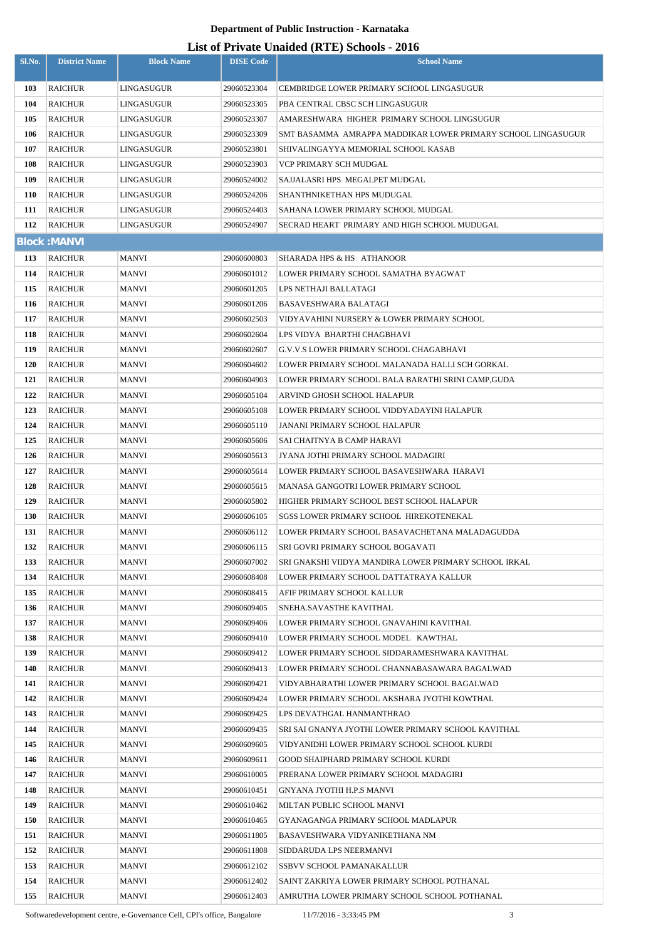| Sl.No.     | <b>District Name</b> | <b>Block Name</b>        | <b>DISE Code</b>           | <b>School Name</b>                                                                          |
|------------|----------------------|--------------------------|----------------------------|---------------------------------------------------------------------------------------------|
|            |                      |                          |                            |                                                                                             |
| 103        | RAICHUR              | LINGASUGUR               | 29060523304                | CEMBRIDGE LOWER PRIMARY SCHOOL LINGASUGUR                                                   |
| 104        | RAICHUR              | LINGASUGUR               | 29060523305                | PBA CENTRAL CBSC SCH LINGASUGUR                                                             |
| 105        | RAICHUR              | LINGASUGUR               | 29060523307                | AMARESHWARA HIGHER PRIMARY SCHOOL LINGSUGUR                                                 |
| 106        | RAICHUR              | LINGASUGUR               | 29060523309                | SMT BASAMMA  AMRAPPA MADDIKAR LOWER PRIMARY SCHOOL LINGASUGUR                               |
| 107<br>108 | RAICHUR<br>RAICHUR   | LINGASUGUR<br>LINGASUGUR | 29060523801                | SHIVALINGAYYA MEMORIAL SCHOOL KASAB<br>VCP PRIMARY SCH MUDGAL                               |
| 109        | RAICHUR              | LINGASUGUR               | 29060523903                | SAJJALASRI HPS MEGALPET MUDGAL                                                              |
| <b>110</b> | RAICHUR              | LINGASUGUR               | 29060524002<br>29060524206 | SHANTHNIKETHAN HPS MUDUGAL                                                                  |
| 111        | RAICHUR              | LINGASUGUR               | 29060524403                | SAHANA LOWER PRIMARY SCHOOL MUDGAL                                                          |
| 112        | <b>RAICHUR</b>       | LINGASUGUR               | 29060524907                | SECRAD HEART PRIMARY AND HIGH SCHOOL MUDUGAL                                                |
|            | <b>Block: MANVI</b>  |                          |                            |                                                                                             |
| 113        | RAICHUR              | MANVI                    | 29060600803                | SHARADA HPS & HS ATHANOOR                                                                   |
| 114        | <b>RAICHUR</b>       | MANVI                    | 29060601012                | LOWER PRIMARY SCHOOL SAMATHA BYAGWAT                                                        |
| 115        | RAICHUR              | MANVI                    | 29060601205                | LPS NETHAJI BALLATAGI                                                                       |
| 116        | RAICHUR              | MANVI                    | 29060601206                | BASAVESHWARA BALATAGI                                                                       |
| 117        | RAICHUR              | MANVI                    | 29060602503                | VIDYAVAHINI NURSERY & LOWER PRIMARY SCHOOL                                                  |
| 118        | <b>RAICHUR</b>       | MANVI                    | 29060602604                | LPS VIDYA BHARTHI CHAGBHAVI                                                                 |
| 119        | RAICHUR              | MANVI                    | 29060602607                | G.V.V.S LOWER PRIMARY SCHOOL CHAGABHAVI                                                     |
| <b>120</b> | RAICHUR              | MANVI                    | 29060604602                | LOWER PRIMARY SCHOOL MALANADA HALLI SCH GORKAL                                              |
| 121        | RAICHUR              | <b>MANVI</b>             | 29060604903                | LOWER PRIMARY SCHOOL BALA BARATHI SRINI CAMP,GUDA                                           |
| 122        | RAICHUR              | MANVI                    | 29060605104                | ARVIND GHOSH SCHOOL HALAPUR                                                                 |
| 123        | RAICHUR              | MANVI                    | 29060605108                | LOWER PRIMARY SCHOOL VIDDYADAYINI HALAPUR                                                   |
| 124        | RAICHUR              | MANVI                    | 29060605110                | JANANI PRIMARY SCHOOL HALAPUR                                                               |
| 125        | RAICHUR              | MANVI                    | 29060605606                | SAI CHAITNYA B CAMP HARAVI                                                                  |
| 126        | RAICHUR              | MANVI                    | 29060605613                | JYANA JOTHI PRIMARY SCHOOL MADAGIRI                                                         |
| 127        | <b>RAICHUR</b>       | MANVI                    | 29060605614                | LOWER PRIMARY SCHOOL BASAVESHWARA  HARAVI                                                   |
| 128        | RAICHUR              | MANVI                    | 29060605615                | MANASA GANGOTRI LOWER PRIMARY SCHOOL                                                        |
| 129        | <b>RAICHUR</b>       | <b>MANVI</b>             | 29060605802                | HIGHER PRIMARY SCHOOL BEST SCHOOL HALAPUR                                                   |
| <b>130</b> | RAICHUR              | <b>MANVI</b>             | 29060606105                | SGSS LOWER PRIMARY SCHOOL HIREKOTENEKAL                                                     |
| 131        | <b>RAICHUR</b>       | MANVI                    | 29060606112                | LOWER PRIMARY SCHOOL BASAVACHETANA MALADAGUDDA                                              |
| 132        | RAICHUR              | MANVI                    | 29060606115                | SRI GOVRI PRIMARY SCHOOL BOGAVATI                                                           |
| 133        | RAICHUR              | MANVI                    | 29060607002                | SRI GNAKSHI VIIDYA MANDIRA LOWER PRIMARY SCHOOL IRKAL                                       |
| 134        | RAICHUR              | MANVI                    | 29060608408                | LOWER PRIMARY SCHOOL DATTATRAYA KALLUR                                                      |
| 135        | <b>RAICHUR</b>       | MANVI                    | 29060608415                | AFIF PRIMARY SCHOOL KALLUR                                                                  |
| 136        | <b>RAICHUR</b>       | MANVI                    | 29060609405                | SNEHA.SAVASTHE KAVITHAL                                                                     |
| 137        | RAICHUR              | MANVI                    | 29060609406                | LOWER PRIMARY SCHOOL GNAVAHINI KAVITHAL                                                     |
| 138        | RAICHUR              | MANVI                    | 29060609410                | LOWER PRIMARY SCHOOL MODEL KAWTHAL                                                          |
| 139        | RAICHUR              | MANVI                    | 29060609412                | LOWER PRIMARY SCHOOL SIDDARAMESHWARA KAVITHAL                                               |
| 140        | RAICHUR              | MANVI                    | 29060609413                | LOWER PRIMARY SCHOOL CHANNABASAWARA BAGALWAD                                                |
| 141        | RAICHUR              | MANVI                    | 29060609421                | VIDYABHARATHI LOWER PRIMARY SCHOOL BAGALWAD                                                 |
| 142        | RAICHUR              | MANVI                    | 29060609424                | LOWER PRIMARY SCHOOL AKSHARA JYOTHI KOWTHAL                                                 |
| 143        | RAICHUR              | MANVI                    | 29060609425                | LPS DEVATHGAL HANMANTHRAO                                                                   |
| 144        | RAICHUR              | MANVI                    | 29060609435                | SRI SAI GNANYA JYOTHI LOWER PRIMARY SCHOOL KAVITHAL                                         |
| 145        | RAICHUR              | MANVI                    | 29060609605                | VIDYANIDHI LOWER PRIMARY SCHOOL SCHOOL KURDI                                                |
| 146        | RAICHUR              | MANVI                    | 29060609611                | GOOD SHAIPHARD PRIMARY SCHOOL KURDI                                                         |
| 147        | RAICHUR              | MANVI                    | 29060610005                | PRERANA LOWER PRIMARY SCHOOL MADAGIRI                                                       |
| 148        | RAICHUR              | MANVI                    | 29060610451                | GNYANA JYOTHI H.P.S MANVI                                                                   |
| 149        | RAICHUR              | MANVI                    | 29060610462                | MILTAN PUBLIC SCHOOL MANVI                                                                  |
| <b>150</b> | RAICHUR              | MANVI                    | 29060610465                | GYANAGANGA PRIMARY SCHOOL MADLAPUR                                                          |
| 151        | <b>RAICHUR</b>       | MANVI                    | 29060611805                | BASAVESHWARA VIDYANIKETHANA NM                                                              |
| 152        | RAICHUR              | MANVI                    | 29060611808                | SIDDARUDA LPS NEERMANVI                                                                     |
| 153        | RAICHUR              | MANVI                    | 29060612102                | SSBVV SCHOOL PAMANAKALLUR                                                                   |
| 154        | <b>RAICHUR</b>       | MANVI<br><b>MANVI</b>    | 29060612402<br>29060612403 | SAINT ZAKRIYA LOWER PRIMARY SCHOOL POTHANAL<br>AMRUTHA LOWER PRIMARY SCHOOL SCHOOL POTHANAL |
| 155        | RAICHUR              |                          |                            |                                                                                             |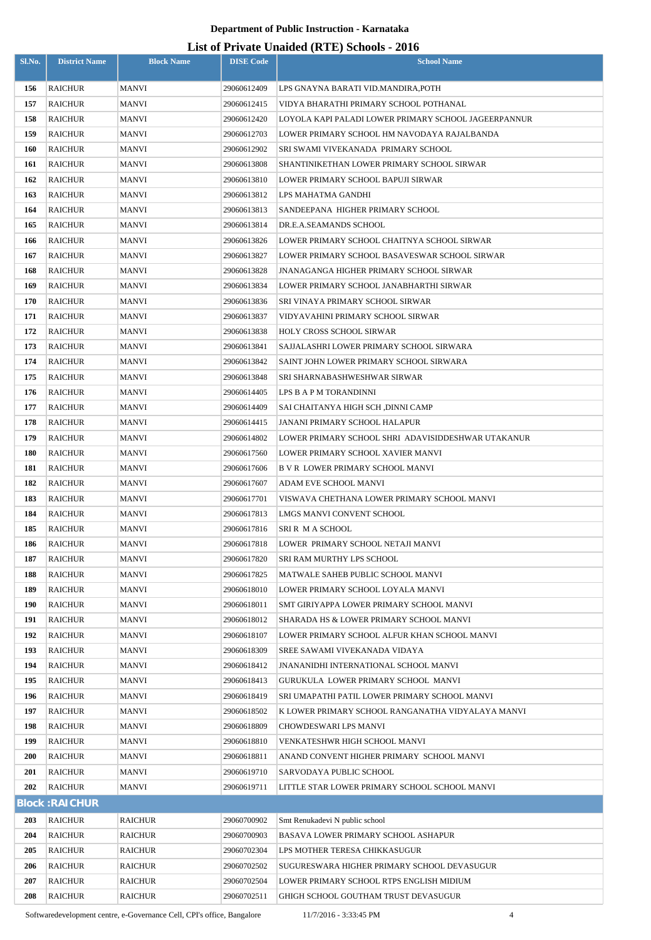| Sl.No.     | <b>District Name</b>      | <b>Block Name</b> | <b>DISE Code</b>           | <b>School Name</b>                                                                             |
|------------|---------------------------|-------------------|----------------------------|------------------------------------------------------------------------------------------------|
|            |                           |                   |                            |                                                                                                |
| 156        | <b>RAICHUR</b>            | <b>MANVI</b>      | 29060612409                | LPS GNAYNA BARATI VID.MANDIRA,POTH                                                             |
| 157<br>158 | <b>RAICHUR</b><br>RAICHUR | MANVI<br>MANVI    | 29060612415<br>29060612420 | VIDYA BHARATHI PRIMARY SCHOOL POTHANAL<br>LOYOLA KAPI PALADI LOWER PRIMARY SCHOOL JAGEERPANNUR |
| 159        | <b>RAICHUR</b>            | MANVI             | 29060612703                | LOWER PRIMARY SCHOOL HM NAVODAYA RAJALBANDA                                                    |
| 160        | <b>RAICHUR</b>            | MANVI             | 29060612902                | SRI SWAMI VIVEKANADA  PRIMARY SCHOOL                                                           |
| 161        | <b>RAICHUR</b>            | MANVI             | 29060613808                | SHANTINIKETHAN LOWER PRIMARY SCHOOL SIRWAR                                                     |
| 162        | <b>RAICHUR</b>            | MANVI             | 29060613810                | LOWER PRIMARY SCHOOL BAPUJI SIRWAR                                                             |
| 163        | <b>RAICHUR</b>            | MANVI             | 29060613812                | LPS MAHATMA GANDHI                                                                             |
| 164        | <b>RAICHUR</b>            | MANVI             | 29060613813                | SANDEEPANA HIGHER PRIMARY SCHOOL                                                               |
| 165        | <b>RAICHUR</b>            | MANVI             | 29060613814                | DR.E.A.SEAMANDS SCHOOL                                                                         |
| 166        | <b>RAICHUR</b>            | MANVI             | 29060613826                | LOWER PRIMARY SCHOOL CHAITNYA SCHOOL SIRWAR                                                    |
| 167        | <b>RAICHUR</b>            | MANVI             | 29060613827                | LOWER PRIMARY SCHOOL BASAVESWAR SCHOOL SIRWAR                                                  |
| 168        | <b>RAICHUR</b>            | MANVI             | 29060613828                | JNANAGANGA HIGHER PRIMARY SCHOOL SIRWAR                                                        |
| 169        | <b>RAICHUR</b>            | MANVI             | 29060613834                | LOWER PRIMARY SCHOOL JANABHARTHI SIRWAR                                                        |
| 170        | <b>RAICHUR</b>            | MANVI             | 29060613836                | SRI VINAYA PRIMARY SCHOOL SIRWAR                                                               |
| 171        | <b>RAICHUR</b>            | MANVI             | 29060613837                | VIDYAVAHINI PRIMARY SCHOOL SIRWAR                                                              |
| 172        | <b>RAICHUR</b>            | MANVI             | 29060613838                | HOLY CROSS SCHOOL SIRWAR                                                                       |
| 173        | <b>RAICHUR</b>            | MANVI             | 29060613841                | SAJJALASHRI LOWER PRIMARY SCHOOL SIRWARA                                                       |
| 174        | <b>RAICHUR</b>            | MANVI             | 29060613842                | SAINT JOHN LOWER PRIMARY SCHOOL SIRWARA                                                        |
| 175        | <b>RAICHUR</b>            | MANVI             | 29060613848                | SRI SHARNABASHWESHWAR SIRWAR                                                                   |
| 176        | <b>RAICHUR</b>            | MANVI             | 29060614405                | LPS B A P M TORANDINNI                                                                         |
| 177        | <b>RAICHUR</b>            | MANVI             | 29060614409                | SAI CHAITANYA HIGH SCH ,DINNI CAMP                                                             |
| 178        | <b>RAICHUR</b>            | MANVI             | 29060614415                | JANANI PRIMARY SCHOOL HALAPUR                                                                  |
| 179        | RAICHUR                   | MANVI             | 29060614802                | LOWER PRIMARY SCHOOL SHRI  ADAVISIDDESHWAR UTAKANUR                                            |
| 180        | <b>RAICHUR</b>            | <b>MANVI</b>      | 29060617560                | LOWER PRIMARY SCHOOL XAVIER MANVI                                                              |
| 181        | RAICHUR                   | MANVI             | 29060617606                | B V R  LOWER PRIMARY SCHOOL MANVI                                                              |
| 182        | <b>RAICHUR</b>            | MANVI             | 29060617607                | ADAM EVE SCHOOL MANVI                                                                          |
| 183        | <b>RAICHUR</b>            | MANVI             | 29060617701                | VISWAVA CHETHANA LOWER PRIMARY SCHOOL MANVI                                                    |
| 184        | <b>RAICHUR</b>            | MANVI             | 29060617813                | LMGS MANVI CONVENT SCHOOL                                                                      |
| 185        | <b>RAICHUR</b>            | MANVI             | 29060617816                | SRI R M A SCHOOL                                                                               |
| 186        | <b>RAICHUR</b>            | MANVI             | 29060617818                | LOWER PRIMARY SCHOOL NETAJI MANVI                                                              |
| 187        | <b>RAICHUR</b>            | MANVI             | 29060617820                | SRI RAM MURTHY LPS SCHOOL                                                                      |
| 188        | <b>RAICHUR</b>            | MANVI             | 29060617825                | MATWALE SAHEB PUBLIC SCHOOL MANVI                                                              |
| 189        | <b>RAICHUR</b>            | MANVI             | 29060618010                | LOWER PRIMARY SCHOOL LOYALA MANVI                                                              |
| 190        | <b>RAICHUR</b>            | MANVI             | 29060618011                | SMT GIRIYAPPA LOWER PRIMARY SCHOOL MANVI                                                       |
| 191        | <b>RAICHUR</b>            | MANVI             | 29060618012                | SHARADA HS & LOWER PRIMARY SCHOOL MANVI                                                        |
| 192        | <b>RAICHUR</b>            | MANVI             | 29060618107                | LOWER PRIMARY SCHOOL ALFUR KHAN SCHOOL MANVI                                                   |
| 193        | <b>RAICHUR</b>            | MANVI             | 29060618309                | SREE SAWAMI VIVEKANADA VIDAYA                                                                  |
| 194        | <b>RAICHUR</b>            | MANVI             | 29060618412                | JNANANIDHI INTERNATIONAL SCHOOL MANVI                                                          |
| 195        | <b>RAICHUR</b>            | MANVI             | 29060618413                | GURUKULA LOWER PRIMARY SCHOOL MANVI                                                            |
| 196        | <b>RAICHUR</b>            | MANVI             | 29060618419                | SRI UMAPATHI PATIL LOWER PRIMARY SCHOOL MANVI                                                  |
| 197        | <b>RAICHUR</b>            | MANVI             | 29060618502                | K LOWER PRIMARY SCHOOL RANGANATHA VIDYALAYA MANVI                                              |
| 198        | <b>RAICHUR</b>            | MANVI             | 29060618809                | CHOWDESWARI LPS MANVI                                                                          |
| 199        | <b>RAICHUR</b>            | MANVI             | 29060618810                | VENKATESHWR HIGH SCHOOL MANVI                                                                  |
| 200        | <b>RAICHUR</b>            | MANVI             | 29060618811                | ANAND CONVENT HIGHER PRIMARY SCHOOL MANVI                                                      |
| 201        | <b>RAICHUR</b>            | MANVI             | 29060619710                | SARVODAYA PUBLIC SCHOOL                                                                        |
| 202        | <b>RAICHUR</b>            | MANVI             | 29060619711                | LITTLE STAR LOWER PRIMARY SCHOOL SCHOOL MANVI                                                  |
|            | <b>Block: RAICHUR</b>     |                   |                            |                                                                                                |
| 203        | <b>RAICHUR</b>            | <b>RAICHUR</b>    | 29060700902                | Smt Renukadevi N public school                                                                 |
| 204        | <b>RAICHUR</b>            | <b>RAICHUR</b>    | 29060700903                | BASAVA LOWER PRIMARY SCHOOL ASHAPUR                                                            |
| 205        | <b>RAICHUR</b>            | <b>RAICHUR</b>    | 29060702304                | LPS MOTHER TERESA CHIKKASUGUR                                                                  |
| 206        | <b>RAICHUR</b>            | <b>RAICHUR</b>    | 29060702502                | SUGURESWARA HIGHER PRIMARY SCHOOL DEVASUGUR                                                    |
| 207        | <b>RAICHUR</b>            | <b>RAICHUR</b>    | 29060702504                | LOWER PRIMARY SCHOOL RTPS ENGLISH MIDIUM                                                       |
| 208        | <b>RAICHUR</b>            | <b>RAICHUR</b>    | 29060702511                | GHIGH SCHOOL GOUTHAM TRUST DEVASUGUR                                                           |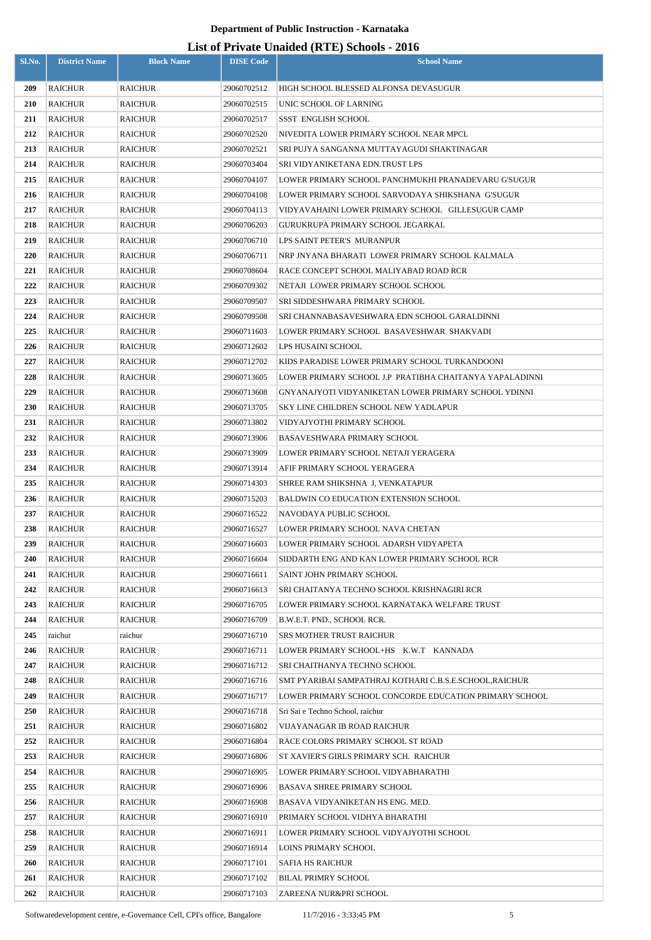| Sl.No.     | <b>District Name</b>             | <b>Block Name</b>                | <b>DISE Code</b>           | $\frac{1}{2}$<br><b>School Name</b>                                                                              |
|------------|----------------------------------|----------------------------------|----------------------------|------------------------------------------------------------------------------------------------------------------|
| 209        | RAICHUR                          | <b>RAICHUR</b>                   | 29060702512                | HIGH SCHOOL BLESSED ALFONSA DEVASUGUR                                                                            |
| 210        | <b>RAICHUR</b>                   | <b>RAICHUR</b>                   | 29060702515                | UNIC SCHOOL OF LARNING                                                                                           |
| 211        | RAICHUR                          | <b>RAICHUR</b>                   | 29060702517                | <b>SSST ENGLISH SCHOOL</b>                                                                                       |
| 212        | RAICHUR                          | <b>RAICHUR</b>                   | 29060702520                | NIVEDITA LOWER PRIMARY SCHOOL NEAR MPCL                                                                          |
| 213        | RAICHUR                          | <b>RAICHUR</b>                   | 29060702521                | SRI PUJYA SANGANNA MUTTAYAGUDI SHAKTINAGAR                                                                       |
| 214        | <b>RAICHUR</b>                   | <b>RAICHUR</b>                   | 29060703404                | SRI VIDYANIKETANA EDN.TRUST LPS                                                                                  |
| 215        | <b>RAICHUR</b>                   | <b>RAICHUR</b>                   | 29060704107                | LOWER PRIMARY SCHOOL PANCHMUKHI PRANADEVARU G'SUGUR                                                              |
| 216        | RAICHUR                          | <b>RAICHUR</b>                   | 29060704108                | LOWER PRIMARY SCHOOL SARVODAYA SHIKSHANA  G'SUGUR                                                                |
| 217        | RAICHUR                          | RAICHUR                          | 29060704113                | VIDYAVAHAINI LOWER PRIMARY SCHOOL GILLESUGUR CAMP                                                                |
| 218        | <b>RAICHUR</b>                   | RAICHUR                          | 29060706203                | GURUKRUPA PRIMARY SCHOOL JEGARKAL                                                                                |
| 219        | RAICHUR                          | <b>RAICHUR</b>                   | 29060706710                | LPS SAINT PETER'S MURANPUR                                                                                       |
| 220        | RAICHUR                          | RAICHUR                          | 29060706711                | NRP JNYANA BHARATI LOWER PRIMARY SCHOOL KALMALA                                                                  |
| 221        | RAICHUR                          | <b>RAICHUR</b>                   | 29060708604                | RACE CONCEPT SCHOOL MALIYABAD ROAD RCR                                                                           |
| 222        | RAICHUR                          | <b>RAICHUR</b>                   | 29060709302                | NETAJI LOWER PRIMARY SCHOOL SCHOOL                                                                               |
| 223        | RAICHUR                          | RAICHUR                          | 29060709507                | SRI SIDDESHWARA PRIMARY SCHOOL                                                                                   |
| 224        | RAICHUR                          | RAICHUR                          | 29060709508                | SRI CHANNABASAVESHWARA EDN SCHOOL GARALDINNI                                                                     |
| 225        | RAICHUR                          | <b>RAICHUR</b>                   | 29060711603                | LOWER PRIMARY SCHOOL BASAVESHWAR SHAKVADI                                                                        |
| 226        | RAICHUR                          | <b>RAICHUR</b>                   | 29060712602                | LPS HUSAINI SCHOOL                                                                                               |
| 227        | RAICHUR                          | <b>RAICHUR</b>                   | 29060712702                | KIDS PARADISE LOWER PRIMARY SCHOOL TURKANDOONI                                                                   |
| 228        | RAICHUR                          | RAICHUR                          | 29060713605                | LOWER PRIMARY SCHOOL J.P PRATIBHA CHAITANYA YAPALADINNI                                                          |
| 229        | RAICHUR                          | <b>RAICHUR</b>                   | 29060713608                | GNYANAJYOTI VIDYANIKETAN LOWER PRIMARY SCHOOL YDINNI                                                             |
| 230        | <b>RAICHUR</b>                   | RAICHUR                          | 29060713705                | SKY LINE CHILDREN SCHOOL NEW YADLAPUR                                                                            |
| 231        | <b>RAICHUR</b>                   | <b>RAICHUR</b>                   | 29060713802                | VIDYAJYOTHI PRIMARY SCHOOL                                                                                       |
| 232        | RAICHUR                          | RAICHUR                          | 29060713906                | BASAVESHWARA PRIMARY SCHOOL                                                                                      |
| 233        | <b>RAICHUR</b>                   | <b>RAICHUR</b>                   | 29060713909                | LOWER PRIMARY SCHOOL NETAJI YERAGERA                                                                             |
| 234        | <b>RAICHUR</b>                   | <b>RAICHUR</b>                   | 29060713914                | AFIF PRIMARY SCHOOL YERAGERA                                                                                     |
| 235        | <b>RAICHUR</b>                   | <b>RAICHUR</b>                   | 29060714303                | SHREE RAM SHIKSHNA J, VENKATAPUR                                                                                 |
| 236        | <b>RAICHUR</b>                   | <b>RAICHUR</b>                   | 29060715203                | <b>BALDWIN CO EDUCATION EXTENSION SCHOOL</b>                                                                     |
| 237        | <b>RAICHUR</b>                   | <b>RAICHUR</b>                   | 29060716522                | NAVODAYA PUBLIC SCHOOL                                                                                           |
| 238        | RAICHUR                          | <b>RAICHUR</b>                   | 29060716527                | LOWER PRIMARY SCHOOL NAVA CHETAN                                                                                 |
| 239        | RAICHUR                          | <b>RAICHUR</b>                   | 29060716603                | LOWER PRIMARY SCHOOL ADARSH VIDYAPETA                                                                            |
| 240        | <b>RAICHUR</b>                   | <b>RAICHUR</b>                   | 29060716604                | SIDDARTH ENG AND KAN LOWER PRIMARY SCHOOL RCR                                                                    |
| 241        | <b>RAICHUR</b>                   | <b>RAICHUR</b>                   | 29060716611                | SAINT JOHN PRIMARY SCHOOL                                                                                        |
| 242        | <b>RAICHUR</b>                   | <b>RAICHUR</b>                   | 29060716613                | SRI CHAITANYA TECHNO SCHOOL KRISHNAGIRI RCR                                                                      |
| 243        | <b>RAICHUR</b>                   | <b>RAICHUR</b>                   | 29060716705                | LOWER PRIMARY SCHOOL KARNATAKA WELFARE TRUST                                                                     |
| 244        | <b>RAICHUR</b>                   | <b>RAICHUR</b>                   | 29060716709                | B.W.E.T. PND., SCHOOL RCR.                                                                                       |
| 245        | raichur                          | raichur                          | 29060716710                | <b>SRS MOTHER TRUST RAICHUR</b>                                                                                  |
| 246        | <b>RAICHUR</b>                   | <b>RAICHUR</b>                   | 29060716711                | LOWER PRIMARY SCHOOL+HS K.W.T KANNADA                                                                            |
| 247<br>248 | <b>RAICHUR</b>                   | <b>RAICHUR</b>                   | 29060716712                | SRI CHAITHANYA TECHNO SCHOOL                                                                                     |
| 249        | <b>RAICHUR</b><br><b>RAICHUR</b> | <b>RAICHUR</b><br><b>RAICHUR</b> | 29060716716<br>29060716717 | SMT PYARIBAI SAMPATHRAJ KOTHARI C.B.S.E.SCHOOL,RAICHUR<br>LOWER PRIMARY SCHOOL CONCORDE EDUCATION PRIMARY SCHOOL |
| 250        | RAICHUR                          | <b>RAICHUR</b>                   | 29060716718                | Sri Sai e Techno School, raichur                                                                                 |
| 251        | RAICHUR                          | <b>RAICHUR</b>                   | 29060716802                | VIJAYANAGAR IB ROAD RAICHUR                                                                                      |
| 252        | RAICHUR                          | <b>RAICHUR</b>                   | 29060716804                | RACE COLORS PRIMARY SCHOOL ST ROAD                                                                               |
| 253        | <b>RAICHUR</b>                   | <b>RAICHUR</b>                   | 29060716806                | ST XAVIER'S GIRLS PRIMARY SCH. RAICHUR                                                                           |
| 254        | RAICHUR                          | <b>RAICHUR</b>                   | 29060716905                | LOWER PRIMARY SCHOOL VIDYABHARATHI                                                                               |
| 255        | RAICHUR                          | <b>RAICHUR</b>                   | 29060716906                | BASAVA SHREE PRIMARY SCHOOL                                                                                      |
| 256        | <b>RAICHUR</b>                   | <b>RAICHUR</b>                   | 29060716908                | BASAVA VIDYANIKETAN HS ENG. MED.                                                                                 |
| 257        | RAICHUR                          | <b>RAICHUR</b>                   | 29060716910                | PRIMARY SCHOOL VIDHYA BHARATHI                                                                                   |
| 258        | <b>RAICHUR</b>                   | <b>RAICHUR</b>                   | 29060716911                | LOWER PRIMARY SCHOOL VIDYAJYOTHI SCHOOL                                                                          |
| 259        | <b>RAICHUR</b>                   | <b>RAICHUR</b>                   | 29060716914                | LOINS PRIMARY SCHOOL                                                                                             |
| 260        | <b>RAICHUR</b>                   | <b>RAICHUR</b>                   | 29060717101                | <b>SAFIA HS RAICHUR</b>                                                                                          |
| 261        | <b>RAICHUR</b>                   | <b>RAICHUR</b>                   | 29060717102                | <b>BILAL PRIMRY SCHOOL</b>                                                                                       |
| 262        | <b>RAICHUR</b>                   | <b>RAICHUR</b>                   | 29060717103                | ZAREENA NUR&PRI SCHOOL                                                                                           |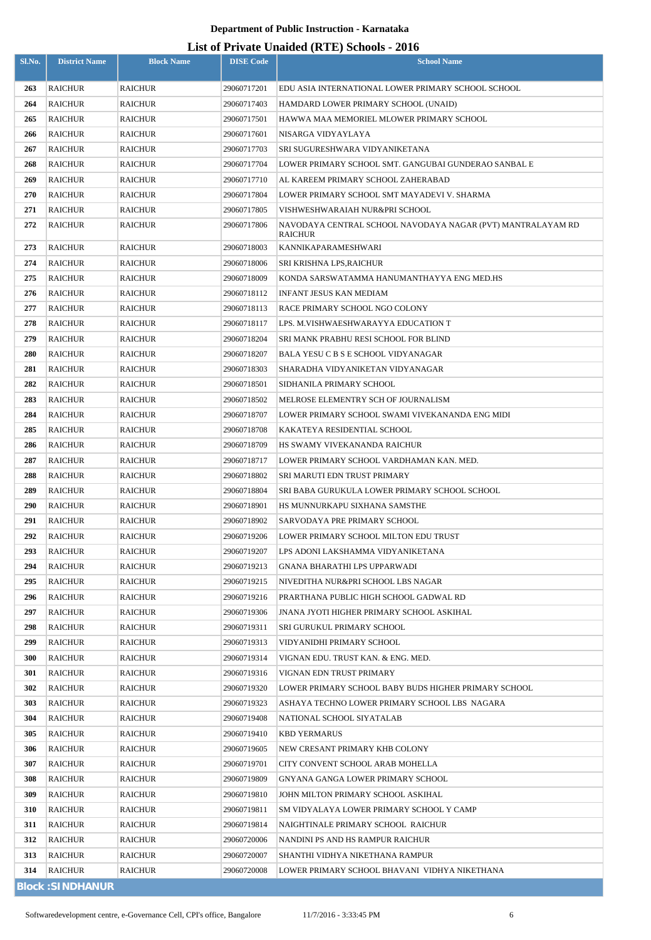| Sl.No.     | <b>District Name</b>    | <b>Block Name</b>                | <b>DISE Code</b>           | <b>School Name</b>                                                         |
|------------|-------------------------|----------------------------------|----------------------------|----------------------------------------------------------------------------|
| 263        | RAICHUR                 | <b>RAICHUR</b>                   | 29060717201                | EDU ASIA INTERNATIONAL LOWER PRIMARY SCHOOL SCHOOL                         |
| 264        | RAICHUR                 | <b>RAICHUR</b>                   | 29060717403                | HAMDARD LOWER PRIMARY SCHOOL (UNAID)                                       |
| 265        | RAICHUR                 | <b>RAICHUR</b>                   | 29060717501                | HAWWA MAA MEMORIEL MLOWER PRIMARY SCHOOL                                   |
| 266        | <b>RAICHUR</b>          | <b>RAICHUR</b>                   | 29060717601                | NISARGA VIDYAYLAYA                                                         |
| 267        | RAICHUR                 | <b>RAICHUR</b>                   | 29060717703                | SRI SUGURESHWARA VIDYANIKETANA                                             |
| 268        | <b>RAICHUR</b>          | <b>RAICHUR</b>                   | 29060717704                | LOWER PRIMARY SCHOOL SMT. GANGUBAI GUNDERAO SANBAL E                       |
| 269        | RAICHUR                 | <b>RAICHUR</b>                   | 29060717710                | AL KAREEM PRIMARY SCHOOL ZAHERABAD                                         |
| 270        | RAICHUR                 | <b>RAICHUR</b>                   | 29060717804                | LOWER PRIMARY SCHOOL SMT MAYADEVI V. SHARMA                                |
| 271        | RAICHUR                 | <b>RAICHUR</b>                   | 29060717805                | VISHWESHWARAIAH NUR&PRI SCHOOL                                             |
| 272        | RAICHUR                 | <b>RAICHUR</b>                   | 29060717806                | NAVODAYA CENTRAL SCHOOL NAVODAYA NAGAR (PVT) MANTRALAYAM RD<br>RAICHUR     |
| 273        | <b>RAICHUR</b>          | <b>RAICHUR</b>                   | 29060718003                | KANNIKAPARAMESHWARI                                                        |
| 274        | RAICHUR                 | <b>RAICHUR</b>                   | 29060718006                | SRI KRISHNA LPS,RAICHUR                                                    |
| 275        | <b>RAICHUR</b>          | <b>RAICHUR</b>                   | 29060718009                | KONDA SARSWATAMMA HANUMANTHAYYA ENG MED.HS                                 |
| 276        | RAICHUR                 | <b>RAICHUR</b>                   | 29060718112                | INFANT JESUS KAN MEDIAM                                                    |
| 277        | RAICHUR                 | <b>RAICHUR</b>                   | 29060718113                | RACE PRIMARY SCHOOL NGO COLONY                                             |
| 278        | RAICHUR                 | <b>RAICHUR</b>                   | 29060718117                | LPS. M.VISHWAESHWARAYYA EDUCATION T                                        |
| 279        | <b>RAICHUR</b>          | <b>RAICHUR</b>                   | 29060718204                | SRI MANK PRABHU RESI SCHOOL FOR BLIND                                      |
| 280        | RAICHUR                 | <b>RAICHUR</b>                   | 29060718207                | BALA YESU C B S E SCHOOL VIDYANAGAR                                        |
| 281        | <b>RAICHUR</b>          | <b>RAICHUR</b>                   | 29060718303                | SHARADHA VIDYANIKETAN VIDYANAGAR                                           |
| 282        | RAICHUR                 | <b>RAICHUR</b>                   | 29060718501                | SIDHANILA PRIMARY SCHOOL                                                   |
| 283        | RAICHUR                 | <b>RAICHUR</b>                   | 29060718502                | MELROSE ELEMENTRY SCH OF JOURNALISM                                        |
| 284        | RAICHUR                 | <b>RAICHUR</b>                   | 29060718707                | LOWER PRIMARY SCHOOL SWAMI VIVEKANANDA ENG MIDI                            |
| 285        | RAICHUR                 | <b>RAICHUR</b>                   | 29060718708                | KAKATEYA RESIDENTIAL SCHOOL                                                |
| 286        | RAICHUR                 | <b>RAICHUR</b>                   | 29060718709                | HS SWAMY VIVEKANANDA RAICHUR                                               |
| 287        | RAICHUR                 | <b>RAICHUR</b>                   | 29060718717                | LOWER PRIMARY SCHOOL VARDHAMAN KAN. MED.                                   |
| 288        | RAICHUR                 | <b>RAICHUR</b>                   | 29060718802                | SRI MARUTI EDN TRUST PRIMARY                                               |
| 289        | RAICHUR                 | <b>RAICHUR</b>                   | 29060718804                | SRI BABA GURUKULA LOWER PRIMARY SCHOOL SCHOOL                              |
| 290        | <b>RAICHUR</b>          | <b>RAICHUR</b>                   | 29060718901                | HS MUNNURKAPU SIXHANA SAMSTHE                                              |
| 291<br>292 | <b>RAICHUR</b>          | <b>RAICHUR</b>                   | 29060718902                | SARVODAYA PRE PRIMARY SCHOOL                                               |
| 293        | RAICHUR<br>RAICHUR      | <b>RAICHUR</b><br><b>RAICHUR</b> | 29060719206<br>29060719207 | LOWER PRIMARY SCHOOL MILTON EDU TRUST<br>LPS ADONI LAKSHAMMA VIDYANIKETANA |
| 294        | RAICHUR                 | <b>RAICHUR</b>                   | 29060719213                | GNANA BHARATHI LPS UPPARWADI                                               |
| 295        | <b>RAICHUR</b>          | <b>RAICHUR</b>                   | 29060719215                | NIVEDITHA NUR&PRI SCHOOL LBS NAGAR                                         |
| 296        | RAICHUR                 | <b>RAICHUR</b>                   | 29060719216                | PRARTHANA PUBLIC HIGH SCHOOL GADWAL RD                                     |
| 297        | RAICHUR                 | <b>RAICHUR</b>                   | 29060719306                | JNANA JYOTI HIGHER PRIMARY SCHOOL ASKIHAL                                  |
| 298        | RAICHUR                 | <b>RAICHUR</b>                   | 29060719311                | SRI GURUKUL PRIMARY SCHOOL                                                 |
| 299        | RAICHUR                 | <b>RAICHUR</b>                   | 29060719313                | VIDYANIDHI PRIMARY SCHOOL                                                  |
| 300        | RAICHUR                 | <b>RAICHUR</b>                   | 29060719314                | VIGNAN EDU. TRUST KAN. & ENG. MED.                                         |
| 301        | RAICHUR                 | <b>RAICHUR</b>                   | 29060719316                | VIGNAN EDN TRUST PRIMARY                                                   |
| 302        | RAICHUR                 | <b>RAICHUR</b>                   | 29060719320                | LOWER PRIMARY SCHOOL BABY BUDS HIGHER PRIMARY SCHOOL                       |
| 303        | RAICHUR                 | <b>RAICHUR</b>                   | 29060719323                | ASHAYA TECHNO LOWER PRIMARY SCHOOL LBS  NAGARA                             |
| 304        | <b>RAICHUR</b>          | <b>RAICHUR</b>                   | 29060719408                | NATIONAL SCHOOL SIYATALAB                                                  |
| 305        | RAICHUR                 | <b>RAICHUR</b>                   | 29060719410                | KBD YERMARUS                                                               |
| 306        | RAICHUR                 | <b>RAICHUR</b>                   | 29060719605                | NEW CRESANT PRIMARY KHB COLONY                                             |
| 307        | RAICHUR                 | <b>RAICHUR</b>                   | 29060719701                | CITY CONVENT SCHOOL ARAB MOHELLA                                           |
| 308        | RAICHUR                 | <b>RAICHUR</b>                   | 29060719809                | GNYANA GANGA LOWER PRIMARY SCHOOL                                          |
| 309        | RAICHUR                 | <b>RAICHUR</b>                   | 29060719810                | JOHN MILTON PRIMARY SCHOOL ASKIHAL                                         |
| 310        | <b>RAICHUR</b>          | <b>RAICHUR</b>                   | 29060719811                | SM VIDYALAYA LOWER PRIMARY SCHOOL Y CAMP                                   |
| 311        | RAICHUR                 | <b>RAICHUR</b>                   | 29060719814                | NAIGHTINALE PRIMARY SCHOOL  RAICHUR                                        |
| 312        | RAICHUR                 | <b>RAICHUR</b>                   | 29060720006                | NANDINI PS AND HS RAMPUR RAICHUR                                           |
| 313        | RAICHUR                 | <b>RAICHUR</b>                   | 29060720007                | SHANTHI VIDHYA NIKETHANA RAMPUR                                            |
| 314        | RAICHUR                 | <b>RAICHUR</b>                   | 29060720008                | LOWER PRIMARY SCHOOL BHAVANI  VIDHYA NIKETHANA                             |
|            | <b>Block: SINDHANUR</b> |                                  |                            |                                                                            |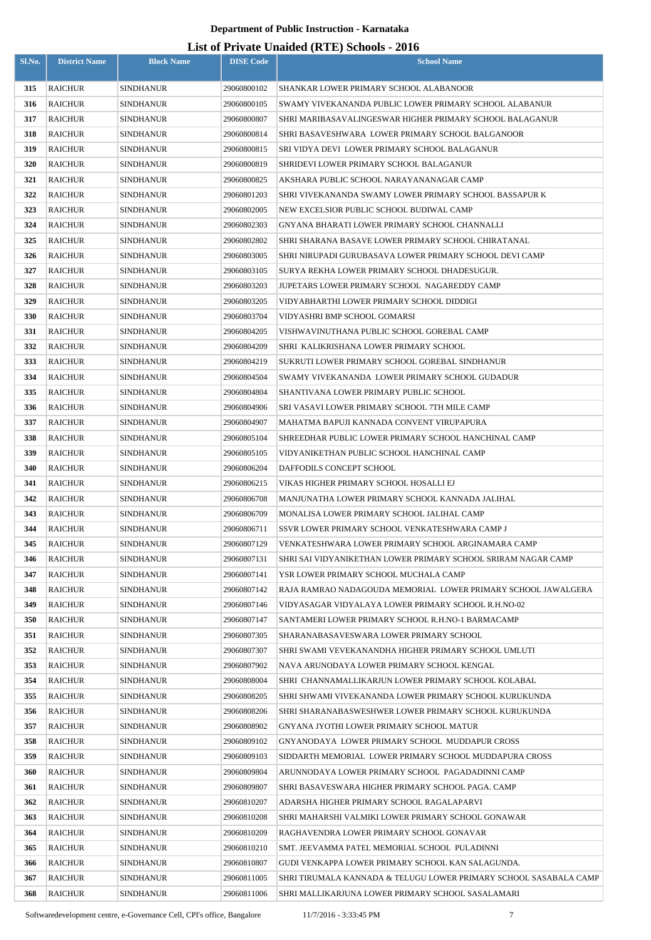| Sl.No.     | <b>District Name</b> | <b>Block Name</b>                    | <b>DISE Code</b>           | <b>School Name</b>                                                                                 |
|------------|----------------------|--------------------------------------|----------------------------|----------------------------------------------------------------------------------------------------|
|            |                      |                                      |                            |                                                                                                    |
| 315        | RAICHUR              | <b>SINDHANUR</b>                     | 29060800102                | SHANKAR LOWER PRIMARY SCHOOL ALABANOOR                                                             |
| 316        | RAICHUR              | <b>SINDHANUR</b>                     | 29060800105                | SWAMY VIVEKANANDA PUBLIC LOWER PRIMARY SCHOOL ALABANUR                                             |
| 317        | RAICHUR              | <b>SINDHANUR</b>                     | 29060800807                | SHRI MARIBASAVALINGESWAR HIGHER PRIMARY SCHOOL BALAGANUR                                           |
| 318        | RAICHUR              | <b>SINDHANUR</b>                     | 29060800814                | SHRI BASAVESHWARA  LOWER PRIMARY SCHOOL BALGANOOR                                                  |
| 319        | RAICHUR              | SINDHANUR                            | 29060800815                | SRI VIDYA DEVI LOWER PRIMARY SCHOOL BALAGANUR                                                      |
| 320        | RAICHUR              | <b>SINDHANUR</b>                     | 29060800819                | SHRIDEVI LOWER PRIMARY SCHOOL BALAGANUR                                                            |
| 321        | RAICHUR              | <b>SINDHANUR</b>                     | 29060800825                | AKSHARA PUBLIC SCHOOL NARAYANANAGAR CAMP                                                           |
| 322        | RAICHUR              | <b>SINDHANUR</b>                     | 29060801203                | SHRI VIVEKANANDA SWAMY LOWER PRIMARY SCHOOL BASSAPUR K                                             |
| 323        | RAICHUR              | <b>SINDHANUR</b>                     | 29060802005                | NEW EXCELSIOR PUBLIC SCHOOL BUDIWAL CAMP                                                           |
| 324        | RAICHUR              | <b>SINDHANUR</b>                     | 29060802303                | GNYANA BHARATI LOWER PRIMARY SCHOOL CHANNALLI                                                      |
| 325        | RAICHUR              | <b>SINDHANUR</b>                     | 29060802802                | SHRI SHARANA BASAVE LOWER PRIMARY SCHOOL CHIRATANAL                                                |
| 326        | RAICHUR              | <b>SINDHANUR</b>                     | 29060803005                | SHRI NIRUPADI GURUBASAVA LOWER PRIMARY SCHOOL DEVI CAMP                                            |
| 327        | RAICHUR              | <b>SINDHANUR</b>                     | 29060803105                | SURYA REKHA LOWER PRIMARY SCHOOL DHADESUGUR.                                                       |
| 328        | <b>RAICHUR</b>       | <b>SINDHANUR</b>                     | 29060803203                | JUPETARS LOWER PRIMARY SCHOOL NAGAREDDY CAMP                                                       |
| 329        | RAICHUR              | <b>SINDHANUR</b>                     | 29060803205                | VIDYABHARTHI LOWER PRIMARY SCHOOL DIDDIGI                                                          |
| 330        | RAICHUR              | <b>SINDHANUR</b>                     | 29060803704                | VIDYASHRI BMP SCHOOL GOMARSI                                                                       |
| 331        | RAICHUR              | <b>SINDHANUR</b>                     | 29060804205                | VISHWAVINUTHANA PUBLIC SCHOOL GOREBAL CAMP                                                         |
| 332        | RAICHUR              | <b>SINDHANUR</b>                     | 29060804209                | SHRI  KALIKRISHANA LOWER PRIMARY SCHOOL                                                            |
| 333        | RAICHUR              | <b>SINDHANUR</b>                     | 29060804219                | SUKRUTI LOWER PRIMARY SCHOOL GOREBAL SINDHANUR                                                     |
| 334        | RAICHUR              | SINDHANUR                            | 29060804504                | SWAMY VIVEKANANDA LOWER PRIMARY SCHOOL GUDADUR                                                     |
| 335        | RAICHUR              | <b>SINDHANUR</b>                     | 29060804804                | SHANTIVANA LOWER PRIMARY PUBLIC SCHOOL                                                             |
| 336        | RAICHUR              | SINDHANUR                            | 29060804906                | SRI VASAVI LOWER PRIMARY SCHOOL 7TH MILE CAMP                                                      |
| 337        | RAICHUR              | <b>SINDHANUR</b>                     | 29060804907                | MAHATMA BAPUJI KANNADA CONVENT VIRUPAPURA                                                          |
| 338        | RAICHUR              | <b>SINDHANUR</b>                     | 29060805104                | SHREEDHAR PUBLIC LOWER PRIMARY SCHOOL HANCHINAL CAMP                                               |
| 339        | RAICHUR              | <b>SINDHANUR</b>                     | 29060805105                | VIDYANIKETHAN PUBLIC SCHOOL HANCHINAL CAMP                                                         |
| 340        | RAICHUR              | <b>SINDHANUR</b>                     | 29060806204                | DAFFODILS CONCEPT SCHOOL                                                                           |
| 341        | <b>RAICHUR</b>       | <b>SINDHANUR</b>                     | 29060806215                | VIKAS HIGHER PRIMARY SCHOOL HOSALLI EJ                                                             |
| 342        | <b>RAICHUR</b>       | <b>SINDHANUR</b>                     | 29060806708                | MANJUNATHA LOWER PRIMARY SCHOOL KANNADA JALIHAL                                                    |
| 343        | <b>RAICHUR</b>       | <b>SINDHANUR</b>                     | 29060806709                | MONALISA LOWER PRIMARY SCHOOL JALIHAL CAMP                                                         |
| 344        | <b>RAICHUR</b>       | <b>SINDHANUR</b>                     | 29060806711                | SSVR LOWER PRIMARY SCHOOL VENKATESHWARA CAMP J                                                     |
| 345        | <b>RAICHUR</b>       | <b>SINDHANUR</b>                     | 29060807129                | VENKATESHWARA LOWER PRIMARY SCHOOL ARGINAMARA CAMP                                                 |
| 346        | RAICHUR              | <b>SINDHANUR</b>                     | 29060807131                | SHRI SAI VIDYANIKETHAN LOWER PRIMARY SCHOOL SRIRAM NAGAR CAMP                                      |
| 347        | RAICHUR              | <b>SINDHANUR</b>                     | 29060807141                | YSR LOWER PRIMARY SCHOOL MUCHALA CAMP                                                              |
| 348        | RAICHUR              | <b>SINDHANUR</b>                     | 29060807142                | RAJA RAMRAO NADAGOUDA MEMORIAL  LOWER PRIMARY SCHOOL JAWALGERA                                     |
| 349        | RAICHUR              | <b>SINDHANUR</b>                     | 29060807146                | VIDYASAGAR VIDYALAYA LOWER PRIMARY SCHOOL R.H.NO-02                                                |
| 350        | RAICHUR              | <b>SINDHANUR</b>                     | 29060807147                | SANTAMERI LOWER PRIMARY SCHOOL R.H.NO-1 BARMACAMP                                                  |
| 351<br>352 | RAICHUR<br>RAICHUR   | <b>SINDHANUR</b>                     | 29060807305<br>29060807307 | SHARANABASAVESWARA LOWER PRIMARY SCHOOL                                                            |
| 353        | RAICHUR              | <b>SINDHANUR</b><br><b>SINDHANUR</b> | 29060807902                | SHRI SWAMI VEVEKANANDHA HIGHER PRIMARY SCHOOL UMLUTI<br>NAVA ARUNODAYA LOWER PRIMARY SCHOOL KENGAL |
| 354        | RAICHUR              | <b>SINDHANUR</b>                     | 29060808004                | SHRI CHANNAMALLIKARJUN LOWER PRIMARY SCHOOL KOLABAL                                                |
| 355        | RAICHUR              | <b>SINDHANUR</b>                     | 29060808205                | SHRI SHWAMI VIVEKANANDA LOWER PRIMARY SCHOOL KURUKUNDA                                             |
| 356        | RAICHUR              | <b>SINDHANUR</b>                     | 29060808206                | SHRI SHARANABASWESHWER LOWER PRIMARY SCHOOL KURUKUNDA                                              |
| 357        | RAICHUR              | <b>SINDHANUR</b>                     | 29060808902                | GNYANA JYOTHI LOWER PRIMARY SCHOOL MATUR                                                           |
| 358        | RAICHUR              | <b>SINDHANUR</b>                     | 29060809102                | GNYANODAYA LOWER PRIMARY SCHOOL MUDDAPUR CROSS                                                     |
| 359        | RAICHUR              | <b>SINDHANUR</b>                     | 29060809103                | SIDDARTH MEMORIAL  LOWER PRIMARY SCHOOL MUDDAPURA CROSS                                            |
| 360        | RAICHUR              | <b>SINDHANUR</b>                     | 29060809804                | ARUNNODAYA LOWER PRIMARY SCHOOL  PAGADADINNI CAMP                                                  |
| 361        | RAICHUR              | <b>SINDHANUR</b>                     | 29060809807                | SHRI BASAVESWARA HIGHER PRIMARY SCHOOL PAGA. CAMP                                                  |
| 362        | RAICHUR              | <b>SINDHANUR</b>                     | 29060810207                | ADARSHA HIGHER PRIMARY SCHOOL RAGALAPARVI                                                          |
| 363        | RAICHUR              | <b>SINDHANUR</b>                     | 29060810208                | SHRI MAHARSHI VALMIKI LOWER PRIMARY SCHOOL GONAWAR                                                 |
| 364        | RAICHUR              | <b>SINDHANUR</b>                     | 29060810209                | RAGHAVENDRA LOWER PRIMARY SCHOOL GONAVAR                                                           |
| 365        | <b>RAICHUR</b>       | <b>SINDHANUR</b>                     | 29060810210                | SMT. JEEVAMMA PATEL MEMORIAL SCHOOL  PULADINNI                                                     |
| 366        | RAICHUR              | <b>SINDHANUR</b>                     | 29060810807                | GUDI VENKAPPA LOWER PRIMARY SCHOOL KAN SALAGUNDA.                                                  |
| 367        | RAICHUR              | <b>SINDHANUR</b>                     | 29060811005                | SHRI TIRUMALA KANNADA & TELUGU LOWER PRIMARY SCHOOL SASABALA CAMP                                  |
| 368        | RAICHUR              | <b>SINDHANUR</b>                     | 29060811006                | SHRI MALLIKARJUNA LOWER PRIMARY SCHOOL SASALAMARI                                                  |